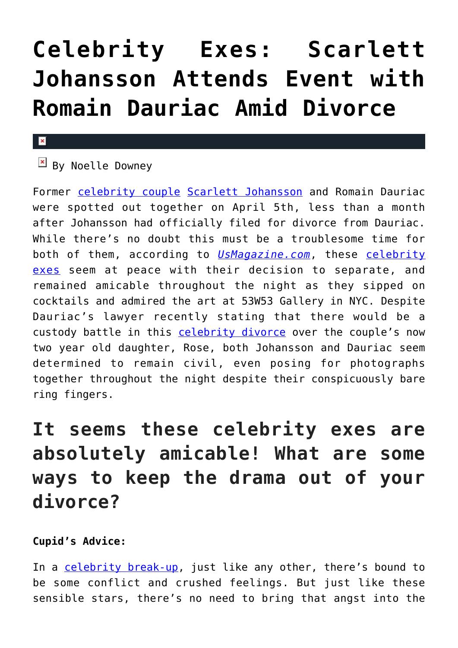# **[Celebrity Exes: Scarlett](https://cupidspulse.com/117689/celebrity-exes-scarlett-johansson-attends-event-romain-dauriac-divorce/) [Johansson Attends Event with](https://cupidspulse.com/117689/celebrity-exes-scarlett-johansson-attends-event-romain-dauriac-divorce/) [Romain Dauriac Amid Divorce](https://cupidspulse.com/117689/celebrity-exes-scarlett-johansson-attends-event-romain-dauriac-divorce/)**

#### $\mathbf{x}$

## $\overline{B}$  By Noelle Downey

Former [celebrity couple](http://cupidspulse.com/celebrity-news/celebrity-dating/) [Scarlett Johansson](http://cupidspulse.com/87706/scarlett-johansson/) and Romain Dauriac were spotted out together on April 5th, less than a month after Johansson had officially filed for divorce from Dauriac. While there's no doubt this must be a troublesome time for both of them, according to *[UsMagazine.com](http://www.usmagazine.com/celebrity-news/news/scarlett-johansson-reunites-with-ex-romain-dauriac-after-divorce-filing-w475332)*, these [celebrity](http://cupidspulse.com/celebrity-news/celebrity-dating/) [exes](http://cupidspulse.com/celebrity-news/celebrity-dating/) seem at peace with their decision to separate, and remained amicable throughout the night as they sipped on cocktails and admired the art at 53W53 Gallery in NYC. Despite Dauriac's lawyer recently stating that there would be a custody battle in this [celebrity divorce](http://cupidspulse.com/celebrity-news/celebrity-dating/) over the couple's now two year old daughter, Rose, both Johansson and Dauriac seem determined to remain civil, even posing for photographs together throughout the night despite their conspicuously bare ring fingers.

# **It seems these celebrity exes are absolutely amicable! What are some ways to keep the drama out of your divorce?**

### **Cupid's Advice:**

In a [celebrity break-up,](http://cupidspulse.com/celebrity-news/celebrity-break-ups/) just like any other, there's bound to be some conflict and crushed feelings. But just like these sensible stars, there's no need to bring that angst into the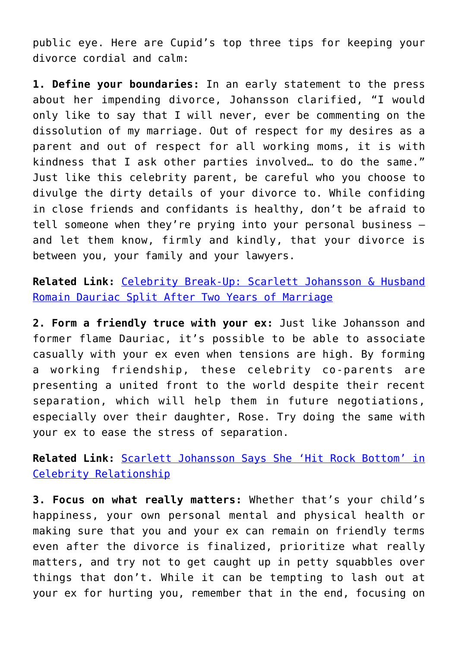public eye. Here are Cupid's top three tips for keeping your divorce cordial and calm:

**1. Define your boundaries:** In an early statement to the press about her impending divorce, Johansson clarified, "I would only like to say that I will never, ever be commenting on the dissolution of my marriage. Out of respect for my desires as a parent and out of respect for all working moms, it is with kindness that I ask other parties involved… to do the same." Just like this celebrity parent, be careful who you choose to divulge the dirty details of your divorce to. While confiding in close friends and confidants is healthy, don't be afraid to tell someone when they're prying into your personal business – and let them know, firmly and kindly, that your divorce is between you, your family and your lawyers.

**Related Link:** [Celebrity Break-Up: Scarlett Johansson & Husband](http://cupidspulse.com/116489/celebrity-break-up-scarlett-johansson-romain-dauriac/) [Romain Dauriac Split After Two Years of Marriage](http://cupidspulse.com/116489/celebrity-break-up-scarlett-johansson-romain-dauriac/)

**2. Form a friendly truce with your ex:** Just like Johansson and former flame Dauriac, it's possible to be able to associate casually with your ex even when tensions are high. By forming a working friendship, these celebrity co-parents are presenting a united front to the world despite their recent separation, which will help them in future negotiations, especially over their daughter, Rose. Try doing the same with your ex to ease the stress of separation.

**Related Link:** [Scarlett Johansson Says She 'Hit Rock Bottom' in](http://cupidspulse.com/107923/scarlett-johansson-hit-rock-bottom-celebrity-relationship/) [Celebrity Relationship](http://cupidspulse.com/107923/scarlett-johansson-hit-rock-bottom-celebrity-relationship/)

**3. Focus on what really matters:** Whether that's your child's happiness, your own personal mental and physical health or making sure that you and your ex can remain on friendly terms even after the divorce is finalized, prioritize what really matters, and try not to get caught up in petty squabbles over things that don't. While it can be tempting to lash out at your ex for hurting you, remember that in the end, focusing on